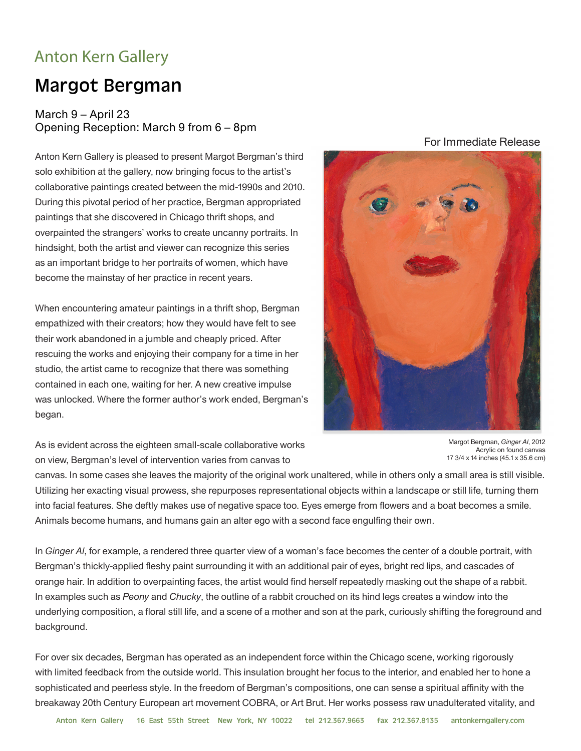## Anton Kern Gallery

## Margot Bergman

## March 9 – April 23 Opening Reception: March 9 from 6 – 8pm

Anton Kern Gallery is pleased to present Margot Bergman's third solo exhibition at the gallery, now bringing focus to the artist's collaborative paintings created between the mid-1990s and 2010. During this pivotal period of her practice, Bergman appropriated paintings that she discovered in Chicago thrift shops, and overpainted the strangers' works to create uncanny portraits. In hindsight, both the artist and viewer can recognize this series as an important bridge to her portraits of women, which have become the mainstay of her practice in recent years.

When encountering amateur paintings in a thrift shop, Bergman empathized with their creators; how they would have felt to see their work abandoned in a jumble and cheaply priced. After rescuing the works and enjoying their company for a time in her studio, the artist came to recognize that there was something contained in each one, waiting for her. A new creative impulse was unlocked. Where the former author's work ended, Bergman's began.

For Immediate Release



As is evident across the eighteen small-scale collaborative works on view, Bergman's level of intervention varies from canvas to

Margot Bergman, *Ginger Al*, 2012 Acrylic on found canvas 17 3/4 x 14 inches (45.1 x 35.6 cm)

canvas. In some cases she leaves the majority of the original work unaltered, while in others only a small area is still visible. Utilizing her exacting visual prowess, she repurposes representational objects within a landscape or still life, turning them into facial features. She deftly makes use of negative space too. Eyes emerge from flowers and a boat becomes a smile. Animals become humans, and humans gain an alter ego with a second face engulfing their own.

In *Ginger Al*, for example, a rendered three quarter view of a woman's face becomes the center of a double portrait, with Bergman's thickly-applied fleshy paint surrounding it with an additional pair of eyes, bright red lips, and cascades of orange hair. In addition to overpainting faces, the artist would find herself repeatedly masking out the shape of a rabbit. In examples such as *Peony* and *Chucky*, the outline of a rabbit crouched on its hind legs creates a window into the underlying composition, a floral still life, and a scene of a mother and son at the park, curiously shifting the foreground and background.

For over six decades, Bergman has operated as an independent force within the Chicago scene, working rigorously with limited feedback from the outside world. This insulation brought her focus to the interior, and enabled her to hone a sophisticated and peerless style. In the freedom of Bergman's compositions, one can sense a spiritual affinity with the breakaway 20th Century European art movement COBRA, or Art Brut. Her works possess raw unadulterated vitality, and